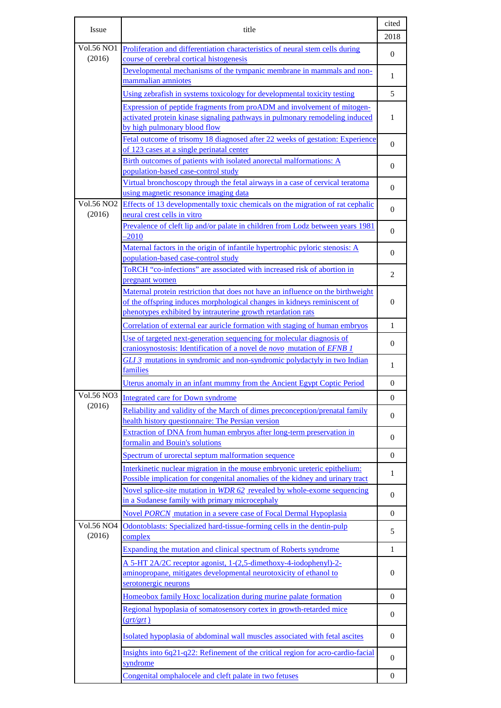| Issue                       | title                                                                                                                                                                                                                       | cited<br>2018 |
|-----------------------------|-----------------------------------------------------------------------------------------------------------------------------------------------------------------------------------------------------------------------------|---------------|
| <b>Vol.56 NO1</b><br>(2016) | Proliferation and differentiation characteristics of neural stem cells during<br>course of cerebral cortical histogenesis                                                                                                   | $\theta$      |
|                             | Developmental mechanisms of the tympanic membrane in mammals and non-<br>mammalian amniotes                                                                                                                                 | 1             |
|                             | Using zebrafish in systems toxicology for developmental toxicity testing                                                                                                                                                    | 5             |
|                             | Expression of peptide fragments from proADM and involvement of mitogen-<br>activated protein kinase signaling pathways in pulmonary remodeling induced<br>by high pulmonary blood flow                                      | 1             |
|                             | Fetal outcome of trisomy 18 diagnosed after 22 weeks of gestation: Experience<br>of 123 cases at a single perinatal center                                                                                                  | 0             |
|                             | Birth outcomes of patients with isolated anorectal malformations: A<br>population-based case-control study                                                                                                                  | $\theta$      |
|                             | Virtual bronchoscopy through the fetal airways in a case of cervical teratoma<br>using magnetic resonance imaging data                                                                                                      | $\Omega$      |
| <b>Vol.56 NO2</b><br>(2016) | Effects of 13 developmentally toxic chemicals on the migration of rat cephalic<br>neural crest cells in vitro                                                                                                               | $\theta$      |
|                             | Prevalence of cleft lip and/or palate in children from Lodz between years 1981<br>$-2010$                                                                                                                                   | $\theta$      |
|                             | Maternal factors in the origin of infantile hypertrophic pyloric stenosis: A<br>population-based case-control study                                                                                                         | $\theta$      |
|                             | ToRCH "co-infections" are associated with increased risk of abortion in<br>pregnant women                                                                                                                                   | 2             |
|                             | Maternal protein restriction that does not have an influence on the birthweight<br>of the offspring induces morphological changes in kidneys reminiscent of<br>phenotypes exhibited by intrauterine growth retardation rats | $\mathbf{0}$  |
|                             | Correlation of external ear auricle formation with staging of human embryos                                                                                                                                                 | 1             |
|                             | Use of targeted next-generation sequencing for molecular diagnosis of<br>craniosynostosis: Identification of a novel de novo mutation of EFNB 1                                                                             | 0             |
|                             | GLI 3 mutations in syndromic and non-syndromic polydactyly in two Indian<br>families                                                                                                                                        | 1             |
|                             | Uterus anomaly in an infant mummy from the Ancient Egypt Coptic Period                                                                                                                                                      | $\mathbf{0}$  |
| Vol.56 NO3                  | Integrated care for Down syndrome                                                                                                                                                                                           | $\theta$      |
| (2016)                      | Reliability and validity of the March of dimes preconception/prenatal family<br>health history questionnaire: The Persian version                                                                                           | $\theta$      |
|                             | Extraction of DNA from human embryos after long-term preservation in<br>formalin and Bouin's solutions                                                                                                                      | $\theta$      |
|                             | Spectrum of urorectal septum malformation sequence                                                                                                                                                                          | $\Omega$      |
|                             | Interkinetic nuclear migration in the mouse embryonic ureteric epithelium:<br>Possible implication for congenital anomalies of the kidney and urinary tract                                                                 | 1             |
|                             | Novel splice-site mutation in WDR 62 revealed by whole-exome sequencing<br>in a Sudanese family with primary microcephaly                                                                                                   | $\theta$      |
|                             | Novel PORCN mutation in a severe case of Focal Dermal Hypoplasia                                                                                                                                                            | $\mathbf{0}$  |
| <b>Vol.56 NO4</b><br>(2016) | Odontoblasts: Specialized hard-tissue-forming cells in the dentin-pulp<br>complex                                                                                                                                           | 5             |
|                             | Expanding the mutation and clinical spectrum of Roberts syndrome                                                                                                                                                            | 1             |
|                             | A 5-HT 2A/2C receptor agonist, 1-(2,5-dimethoxy-4-iodophenyl)-2-<br>aminopropane, mitigates developmental neurotoxicity of ethanol to<br>serotonergic neurons                                                               | $\theta$      |
|                             | Homeobox family Hoxc localization during murine palate formation                                                                                                                                                            | $\Omega$      |
|                             | Regional hypoplasia of somatosensory cortex in growth-retarded mice<br>(grt/grt)                                                                                                                                            | $\theta$      |
|                             | Isolated hypoplasia of abdominal wall muscles associated with fetal ascites                                                                                                                                                 | $\mathbf{0}$  |
|                             | Insights into 6q21-q22: Refinement of the critical region for acro-cardio-facial<br>syndrome                                                                                                                                | $\theta$      |
|                             | Congenital omphalocele and cleft palate in two fetuses                                                                                                                                                                      | $\mathbf{0}$  |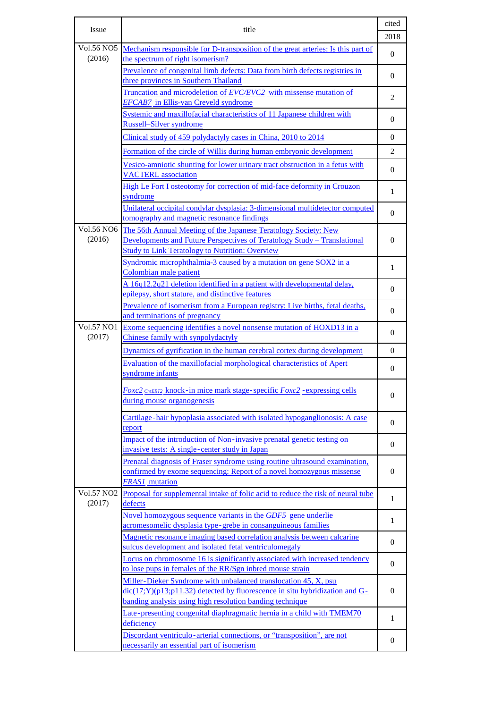| <b>Issue</b>      | title                                                                                                                             | cited<br>2018  |
|-------------------|-----------------------------------------------------------------------------------------------------------------------------------|----------------|
| <b>Vol.56 NO5</b> | Mechanism responsible for D-transposition of the great arteries: Is this part of                                                  |                |
| (2016)            | the spectrum of right isomerism?                                                                                                  | $\mathbf{0}$   |
|                   | Prevalence of congenital limb defects: Data from birth defects registries in                                                      | $\mathbf{0}$   |
|                   | three provinces in Southern Thailand                                                                                              |                |
|                   | Truncation and microdeletion of EVC/EVC2 with missense mutation of                                                                | $\overline{2}$ |
|                   | <b>EFCAB7</b> in Ellis-van Creveld syndrome                                                                                       |                |
|                   | Systemic and maxillofacial characteristics of 11 Japanese children with<br><b>Russell-Silver syndrome</b>                         | 0              |
|                   | Clinical study of 459 polydactyly cases in China, 2010 to 2014                                                                    | $\mathbf{0}$   |
|                   | Formation of the circle of Willis during human embryonic development                                                              | $\overline{2}$ |
|                   | Vesico-amniotic shunting for lower urinary tract obstruction in a fetus with<br><b>VACTERL</b> association                        | 0              |
|                   | High Le Fort I osteotomy for correction of mid-face deformity in Crouzon                                                          | 1              |
|                   | syndrome                                                                                                                          |                |
|                   | Unilateral occipital condylar dysplasia: 3-dimensional multidetector computed<br>tomography and magnetic resonance findings       | 0              |
| <b>Vol.56 NO6</b> | The 56th Annual Meeting of the Japanese Teratology Society: New                                                                   |                |
| (2016)            | Developments and Future Perspectives of Teratology Study - Translational                                                          | 0              |
|                   | <b>Study to Link Teratology to Nutrition: Overview</b>                                                                            |                |
|                   | Syndromic microphthalmia-3 caused by a mutation on gene SOX2 in a<br>Colombian male patient                                       | $\mathbf{1}$   |
|                   | A 16q12.2q21 deletion identified in a patient with developmental delay,                                                           |                |
|                   | epilepsy, short stature, and distinctive features                                                                                 | $\mathbf{0}$   |
|                   | Prevalence of isomerism from a European registry: Live births, fetal deaths,                                                      | 0              |
| <b>Vol.57 NO1</b> | and terminations of pregnancy                                                                                                     |                |
| (2017)            | Exome sequencing identifies a novel nonsense mutation of HOXD13 in a<br>Chinese family with synpolydactyly                        | 0              |
|                   | Dynamics of gyrification in the human cerebral cortex during development                                                          | $\Omega$       |
|                   | Evaluation of the maxillofacial morphological characteristics of Apert                                                            | 0              |
|                   | syndrome infants                                                                                                                  |                |
|                   | <b>Foxc2</b> CreERT2 knock-in mice mark stage-specific Foxc2 - expressing cells                                                   | 0              |
|                   | during mouse organogenesis                                                                                                        |                |
|                   | Cartilage-hair hypoplasia associated with isolated hypoganglionosis: A case<br>report                                             | $\mathbf{0}$   |
|                   | Impact of the introduction of Non-invasive prenatal genetic testing on                                                            | 0              |
|                   | invasive tests: A single-center study in Japan                                                                                    |                |
|                   | Prenatal diagnosis of Fraser syndrome using routine ultrasound examination,                                                       |                |
|                   | confirmed by exome sequencing: Report of a novel homozygous missense<br><b>FRAS1</b> mutation                                     | 0              |
| <b>Vol.57 NO2</b> | Proposal for supplemental intake of folic acid to reduce the risk of neural tube                                                  | 1              |
| (2017)            | defects                                                                                                                           |                |
|                   | Novel homozygous sequence variants in the GDF5 gene underlie                                                                      | 1              |
|                   | acromesomelic dysplasia type-grebe in consanguineous families                                                                     |                |
|                   | Magnetic resonance imaging based correlation analysis between calcarine<br>sulcus development and isolated fetal ventriculomegaly | 0              |
|                   | Locus on chromosome 16 is significantly associated with increased tendency                                                        |                |
|                   | to lose pups in females of the RR/Sgn inbred mouse strain                                                                         | 0              |
|                   | Miller-Dieker Syndrome with unbalanced translocation 45, X, psu                                                                   |                |
|                   | $dic(17;Y)(p13;p11.32)$ detected by fluorescence in situ hybridization and G-                                                     | $\mathbf{0}$   |
|                   | banding analysis using high resolution banding technique                                                                          |                |
|                   | Late-presenting congenital diaphragmatic hernia in a child with TMEM70<br>deficiency                                              | 1              |
|                   | Discordant ventriculo-arterial connections, or "transposition", are not                                                           | $\mathbf{0}$   |
|                   | necessarily an essential part of isomerism                                                                                        |                |